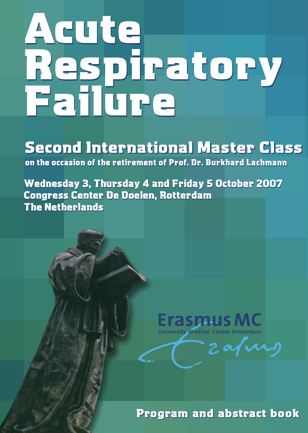# **Acute<br>Respiratory<br>Failure**

# **Second International Master Class**

on the occasion of the retirement of Prof. Dr. Burkhard Lachmann

**Wednesday 3, Thursday 4 and Friday 5 October 2007 Congress Center De Doelen, Rotterdam The Netherlands** 

Erasmus MC

 $2$  af ung

**Program and abstract book**